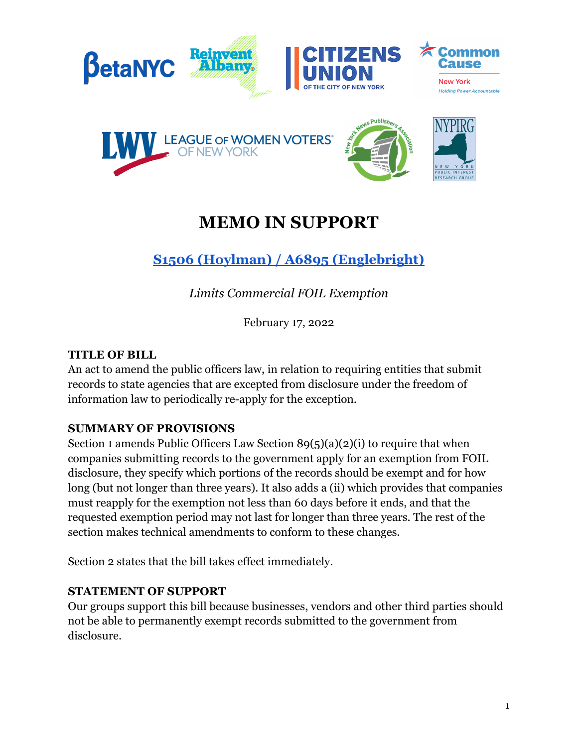

# **MEMO IN SUPPORT**

## **S1506 (Hoylman) / A6895 [\(Englebright\)](https://nyassembly.gov/leg/?default_fld=&leg_video=&bn=A06895&term=&Summary=Y&Text=Y)**

*Limits Commercial FOIL Exemption*

February 17, 2022

#### **TITLE OF BILL**

An act to amend the public officers law, in relation to requiring entities that submit records to state agencies that are excepted from disclosure under the freedom of information law to periodically re-apply for the exception.

#### **SUMMARY OF PROVISIONS**

Section 1 amends Public Officers Law Section 89(5)(a)(2)(i) to require that when companies submitting records to the government apply for an exemption from FOIL disclosure, they specify which portions of the records should be exempt and for how long (but not longer than three years). It also adds a (ii) which provides that companies must reapply for the exemption not less than 60 days before it ends, and that the requested exemption period may not last for longer than three years. The rest of the section makes technical amendments to conform to these changes.

Section 2 states that the bill takes effect immediately.

### **STATEMENT OF SUPPORT**

Our groups support this bill because businesses, vendors and other third parties should not be able to permanently exempt records submitted to the government from disclosure.